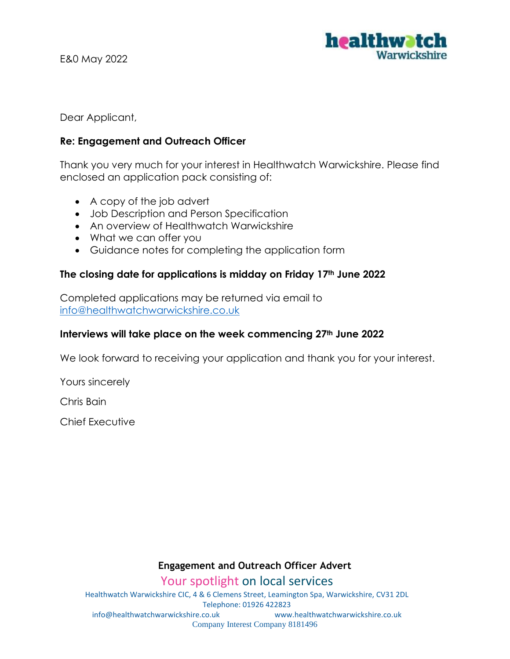

Dear Applicant,

## **Re: Engagement and Outreach Officer**

Thank you very much for your interest in Healthwatch Warwickshire. Please find enclosed an application pack consisting of:

- A copy of the job advert
- Job Description and Person Specification
- An overview of Healthwatch Warwickshire
- What we can offer you
- Guidance notes for completing the application form

## **The closing date for applications is midday on Friday 17th June 2022**

Completed applications may be returned via email to [info@healthwatchwarwickshire.co.uk](mailto:info@healthwatchwarwickshire.co.uk)

## **Interviews will take place on the week commencing 27th June 2022**

We look forward to receiving your application and thank you for your interest.

Yours sincerely

Chris Bain

Chief Executive

## **Engagement and Outreach Officer Advert**

Your spotlight on local services

Healthwatch Warwickshire CIC, 4 & 6 Clemens Street, Leamington Spa, Warwickshire, CV31 2DL Telephone: 01926 422823 info@healthwatchwarwickshire.co.uk www.healthwatchwarwickshire.co.uk Company Interest Company 8181496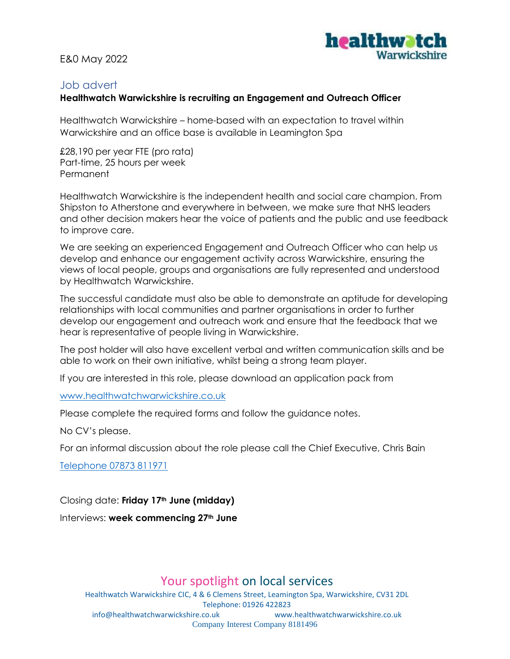

## Job advert

## **Healthwatch Warwickshire is recruiting an Engagement and Outreach Officer**

Healthwatch Warwickshire – home-based with an expectation to travel within Warwickshire and an office base is available in Leamington Spa

£28,190 per year FTE (pro rata) Part-time, 25 hours per week Permanent

Healthwatch Warwickshire is the independent health and social care champion. From Shipston to Atherstone and everywhere in between, we make sure that NHS leaders and other decision makers hear the voice of patients and the public and use feedback to improve care.

We are seeking an experienced Engagement and Outreach Officer who can help us develop and enhance our engagement activity across Warwickshire, ensuring the views of local people, groups and organisations are fully represented and understood by Healthwatch Warwickshire.

The successful candidate must also be able to demonstrate an aptitude for developing relationships with local communities and partner organisations in order to further develop our engagement and outreach work and ensure that the feedback that we hear is representative of people living in Warwickshire.

The post holder will also have excellent verbal and written communication skills and be able to work on their own initiative, whilst being a strong team player.

If you are interested in this role, please download an application pack from

#### [www.healthwatchwarwickshire.co.uk](http://www.healthwatchwarwickshire.co.uk/)

Please complete the required forms and follow the guidance notes.

No CV's please.

For an informal discussion about the role please call the Chief Executive, Chris Bain

Telephone 07873 811971

Closing date: **Friday 17th June (midday)**

Interviews: **week commencing 27th June** 

# Your spotlight on local services

Healthwatch Warwickshire CIC, 4 & 6 Clemens Street, Leamington Spa, Warwickshire, CV31 2DL Telephone: 01926 422823 info@healthwatchwarwickshire.co.uk www.healthwatchwarwickshire.co.uk Company Interest Company 8181496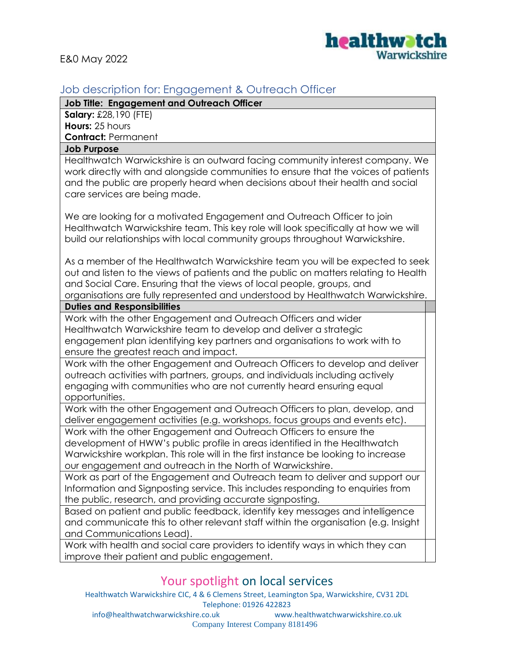

# Job description for: Engagement & Outreach Officer

**Job Title: Engagement and Outreach Officer** 

**Salary:** £28,190 (FTE) **Hours:** 25 hours **Contract:** Permanent

#### **Job Purpose**

Healthwatch Warwickshire is an outward facing community interest company. We work directly with and alongside communities to ensure that the voices of patients and the public are properly heard when decisions about their health and social care services are being made.

We are looking for a motivated Engagement and Outreach Officer to join Healthwatch Warwickshire team. This key role will look specifically at how we will build our relationships with local community groups throughout Warwickshire.

As a member of the Healthwatch Warwickshire team you will be expected to seek out and listen to the views of patients and the public on matters relating to Health and Social Care. Ensuring that the views of local people, groups, and organisations are fully represented and understood by Healthwatch Warwickshire.

#### **Duties and Responsibilities**

Work with the other Engagement and Outreach Officers and wider Healthwatch Warwickshire team to develop and deliver a strategic engagement plan identifying key partners and organisations to work with to ensure the greatest reach and impact.

Work with the other Engagement and Outreach Officers to develop and deliver outreach activities with partners, groups, and individuals including actively engaging with communities who are not currently heard ensuring equal opportunities.

Work with the other Engagement and Outreach Officers to plan, develop, and deliver engagement activities (e.g. workshops, focus groups and events etc).

Work with the other Engagement and Outreach Officers to ensure the development of HWW's public profile in areas identified in the Healthwatch Warwickshire workplan. This role will in the first instance be looking to increase our engagement and outreach in the North of Warwickshire.

Work as part of the Engagement and Outreach team to deliver and support our Information and Signposting service. This includes responding to enquiries from the public, research, and providing accurate signposting.

Based on patient and public feedback, identify key messages and intelligence and communicate this to other relevant staff within the organisation (e.g. Insight and Communications Lead).

Work with health and social care providers to identify ways in which they can improve their patient and public engagement.

# Your spotlight on local services

Healthwatch Warwickshire CIC, 4 & 6 Clemens Street, Leamington Spa, Warwickshire, CV31 2DL Telephone: 01926 422823

info@healthwatchwarwickshire.co.uk www.healthwatchwarwickshire.co.uk Company Interest Company 8181496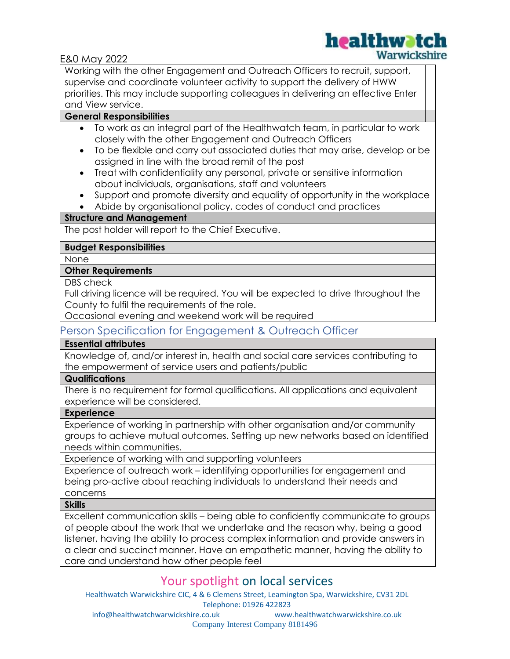

Working with the other Engagement and Outreach Officers to recruit, support, supervise and coordinate volunteer activity to support the delivery of HWW priorities. This may include supporting colleagues in delivering an effective Enter and View service.

## **General Responsibilities**

- To work as an integral part of the Healthwatch team, in particular to work closely with the other Engagement and Outreach Officers
- To be flexible and carry out associated duties that may arise, develop or be assigned in line with the broad remit of the post
- Treat with confidentiality any personal, private or sensitive information about individuals, organisations, staff and volunteers
- Support and promote diversity and equality of opportunity in the workplace
- Abide by organisational policy, codes of conduct and practices

### **Structure and Management**

The post holder will report to the Chief Executive.

## **Budget Responsibilities**

None

### **Other Requirements**

DBS check

Full driving licence will be required. You will be expected to drive throughout the County to fulfil the requirements of the role.

Occasional evening and weekend work will be required

# Person Specification for Engagement & Outreach Officer

### **Essential attributes**

Knowledge of, and/or interest in, health and social care services contributing to the empowerment of service users and patients/public

### **Qualifications**

There is no requirement for formal qualifications. All applications and equivalent experience will be considered.

#### **Experience**

Experience of working in partnership with other organisation and/or community groups to achieve mutual outcomes. Setting up new networks based on identified needs within communities.

Experience of working with and supporting volunteers

Experience of outreach work – identifying opportunities for engagement and being pro-active about reaching individuals to understand their needs and concerns

#### **Skills**

Excellent communication skills – being able to confidently communicate to groups of people about the work that we undertake and the reason why, being a good listener, having the ability to process complex information and provide answers in a clear and succinct manner. Have an empathetic manner, having the ability to care and understand how other people feel

# Your spotlight on local services

Healthwatch Warwickshire CIC, 4 & 6 Clemens Street, Leamington Spa, Warwickshire, CV31 2DL Telephone: 01926 422823

info@healthwatchwarwickshire.co.uk www.healthwatchwarwickshire.co.uk Company Interest Company 8181496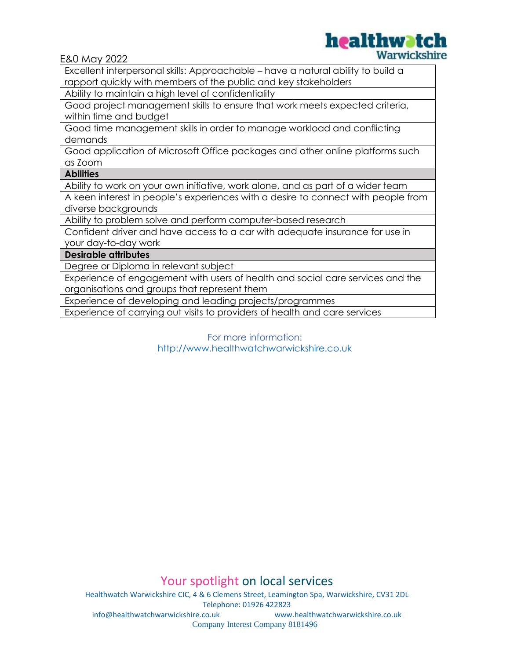

Excellent interpersonal skills: Approachable – have a natural ability to build a rapport quickly with members of the public and key stakeholders

Ability to maintain a high level of confidentiality

Good project management skills to ensure that work meets expected criteria, within time and budget

Good time management skills in order to manage workload and conflicting demands

Good application of Microsoft Office packages and other online platforms such as Zoom

**Abilities** 

Ability to work on your own initiative, work alone, and as part of a wider team

A keen interest in people's experiences with a desire to connect with people from diverse backgrounds

Ability to problem solve and perform computer-based research

Confident driver and have access to a car with adequate insurance for use in your day-to-day work

#### **Desirable attributes**

Degree or Diploma in relevant subject

Experience of engagement with users of health and social care services and the organisations and groups that represent them

Experience of developing and leading projects/programmes

Experience of carrying out visits to providers of health and care services

For more information:

[http://www.healthwatchwarwickshire.co.uk](http://www.healthwatchwarwickshire.co.uk/)

Your spotlight on local services

Healthwatch Warwickshire CIC, 4 & 6 Clemens Street, Leamington Spa, Warwickshire, CV31 2DL Telephone: 01926 422823<br>co.uk www.healthwatchwarwickshire.co.uk info@healthwatchwarwickshire.co.uk Company Interest Company 8181496